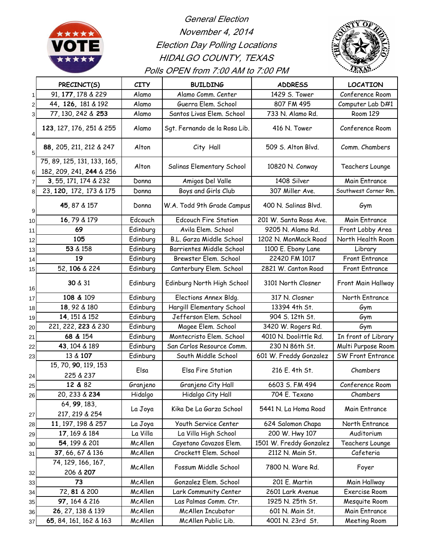

General Election November 4, 2014 Election Day Polling Locations HIDALGO COUNTY, TEXAS Polls OPEN from 7:00 AM to 7:00 PM



|                | PRECINCT(S)                                             | <b>CITY</b> | <b>BUILDING</b>               | <b>ADDRESS</b>          | <b>LOCATION</b>          |
|----------------|---------------------------------------------------------|-------------|-------------------------------|-------------------------|--------------------------|
| 1              | 91, 177, 178 & 229                                      | Alamo       | Alamo Comm. Center            | 1429 S. Tower           | Conference Room          |
| 2              | 44, 126, 181 & 192                                      | Alamo       | Guerra Elem. School           | 807 FM 495              | Computer Lab D#1         |
| 3 <sup>1</sup> | 77, 130, 242 & 253                                      | Alamo       | Santos Livas Elem. School     | 733 N. Alamo Rd.        | <b>Room 129</b>          |
| 4              | 123, 127, 176, 251 & 255                                | Alamo       | Sgt. Fernando de la Rosa Lib. | 416 N. Tower            | Conference Room          |
| 5 <sub>5</sub> | 88, 205, 211, 212 & 247                                 | Alton       | City Hall                     | 509 S. Alton Blvd.      | Comm. Chambers           |
| 6              | 75, 89, 125, 131, 133, 165,<br>182, 209, 241, 244 & 256 | Alton       | Salinas Elementary School     | 10820 N. Conway         | Teachers Lounge          |
| $\overline{7}$ | 3, 55, 171, 174 & 232                                   | Donna       | Amigos Del Valle              | 1408 Silver             | Main Entrance            |
| 8              | 23, 120, 172, 173 & 175                                 | Donna       | Boys and Girls Club           | 307 Miller Ave.         | Southwest Corner Rm.     |
| 9              | 45, 87 & 157                                            | Donna       | W.A. Todd 9th Grade Campus    | 400 N. Salinas Blvd.    | Gym                      |
| 10             | 16,79 & 179                                             | Edcouch     | <b>Edcouch Fire Station</b>   | 201 W. Santa Rosa Ave.  | Main Entrance            |
| 11             | 69                                                      | Edinburg    | Avila Elem. School            | 9205 N. Alamo Rd.       | Front Lobby Area         |
| 12             | 105                                                     | Edinburg    | B.L. Garza Middle School      | 1202 N. MonMack Road    | North Health Room        |
| 13             | 53 & 158                                                | Edinburg    | Barrientes Middle School      | 1100 E. Ebony Lane      | Library                  |
| 14             | 19                                                      | Edinburg    | Brewster Elem. School         | 22420 FM 1017           | <b>Front Entrance</b>    |
| 15             | 52, 106 & 224                                           | Edinburg    | Canterbury Elem. School       | 2821 W. Canton Road     | <b>Front Entrance</b>    |
| 16             | 30 & 31                                                 | Edinburg    | Edinburg North High School    | 3101 North Closner      | Front Main Hallway       |
| 17             | 108 & 109                                               | Edinburg    | Elections Annex Bldg.         | 317 N. Closner          | North Entrance           |
| 18             | 18, 92 & 180                                            | Edinburg    | Hargill Elementary School     | 13394 4th St.           | Gym                      |
| 19             | 14, 151 & 152                                           | Edinburg    | Jefferson Elem. School        | 904 S. 12th St.         | Gym                      |
| 20             | 221, 222, 223 & 230                                     | Edinburg    | Magee Elem. School            | 3420 W. Rogers Rd.      | Gym                      |
| 21             | 68 & 154                                                | Edinburg    | Montecristo Elem. School      | 4010 N. Doolittle Rd.   | In front of Library      |
| 22             | 43, 104 & 189                                           | Edinburg    | San Carlos Resource Comm.     | 230 N 86th St.          | Multi Purpose Room       |
| 23             | 13 & 107                                                | Edinburg    | South Middle School           | 601 W. Freddy Gonzalez  | <b>SW Front Entrance</b> |
| 24             | 15, 70, 90, 119, 153<br>225 & 237                       | Elsa        | Elsa Fire Station             | 216 E. 4th St.          | Chambers                 |
| 25             | 12 & 82                                                 | Granjeno    | Granjeno City Hall            | 6603 S. FM 494          | Conference Room          |
| 26             | 20, 233 & 234                                           | Hidalgo     | Hidalgo City Hall             | 704 E. Texano           | Chambers                 |
| 27             | 64, 99, 183,<br>217, 219 & 254                          | La Joya     | Kika De La Garza School       | 5441 N. La Homa Road    | Main Entrance            |
| 28             | 11, 197, 198 & 257                                      | La Joya     | Youth Service Center          | 624 Salomon Chapa       | North Entrance           |
| 29             | 17, 169 & 184                                           | La Villa    | La Villa High School          | 200 W. Hwy 107          | Auditorium               |
| 30             | <b>54</b> , 199 & 201                                   | McAllen     | Cayetano Cavazos Elem.        | 1501 W. Freddy Gonzalez | Teachers Lounge          |
| 31             | 37, 66, 67 & 136                                        | McAllen     | Crockett Elem. School         | 2112 N. Main St.        | Cafeteria                |
| 32             | 74, 129, 166, 167,<br>206 & 207                         | McAllen     | Fossum Middle School          | 7800 N. Ware Rd.        | Foyer                    |
| 33             | 73                                                      | McAllen     | Gonzalez Elem. School         | 201 E. Martin           | Main Hallway             |
| 34             | 72, 81 & 200                                            | McAllen     | Lark Community Center         | 2601 Lark Avenue        | Exercise Room            |
| 35             | 97, 164 & 216                                           | McAllen     | Las Palmas Comm. Ctr.         | 1925 N. 25th St.        | Mesquite Room            |
| 36             | 26, 27, 138 & 139                                       | McAllen     | McAllen Incubator             | 601 N. Main St.         | Main Entrance            |
| 37             | 65, 84, 161, 162 & 163                                  | McAllen     | McAllen Public Lib.           | 4001 N. 23rd St.        | Meeting Room             |